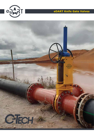

# eDART Knife Gate Valves

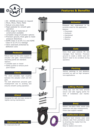

- 80 800NB and larger on request
- PN10, PN16, PN25, PN40
- Robust one piece body
- Rigid pedestal for smooth gate operation
- Wide range of materials of construction available
- Complete range of actuator options
- Precision ground, thick gate to resist pressure distortions
- ASME Class II (0.5% Cv) and ASME Class IV (0.1% Cv) leakage
- Valve seal/seat protected by deflection cone

#### *Pedestal*

Robust laser cut for extra support of actuator and gate. Instrumentation mounting points are standard. Options:

- Lockable open or closed
- Safety guards to remove pinch point hazard

#### *Clevis*

The clevis provides rigid coupling between the actuator shaft and the gate.

Two bolt attachment prevents gate misalignment due to pivoting and ensures smooth cycling operation.

#### *Gland*

Designed for safe and easy access to tighten during maintenance.



For improved shut off.



#### *Actuator*

Designed and engineered to be correctly sized for the application. Options:

- Pneumatic
- Hydraulic
- Handwheel
- Gearbox
- Electric

#### *Gate*

Extra thick gate extends life and manages fluid hammer. Precision ground to create a better seal and doesn't need to be scrubbed during operation.

#### *Packing*

Various packings to suit abrasive, corrosive as well as high temperature applications.

#### *Lifting Points*

Lifting lugs cast into body provide secure and safe rigging points for ease of installation and maintenance.

#### *Body*

Robust one-piece body resists pipe expansion and pipe misalignments. Fewer pipe support needed.

#### *Deflection Cone*

Sacrificial hard chrome wear cone protects seat from premature wear by diverting the media from the sealing surface. Easy to replace once worn.

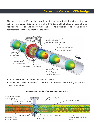### **Deflection Cone and CFD Design**

The deflection cone lifts the flow over the metal seat to protect it from the destructive action of the slurry. It is made from a hard 75 Rockwell high chrome material to be resistant to erosion and easily replaceable. The deflection cone is the primary replacement spare component for the valve.



- The deflector cone is always installed upstream.
- The valve is always orientated so that the line pressure pushes the gate into the seat when closed.